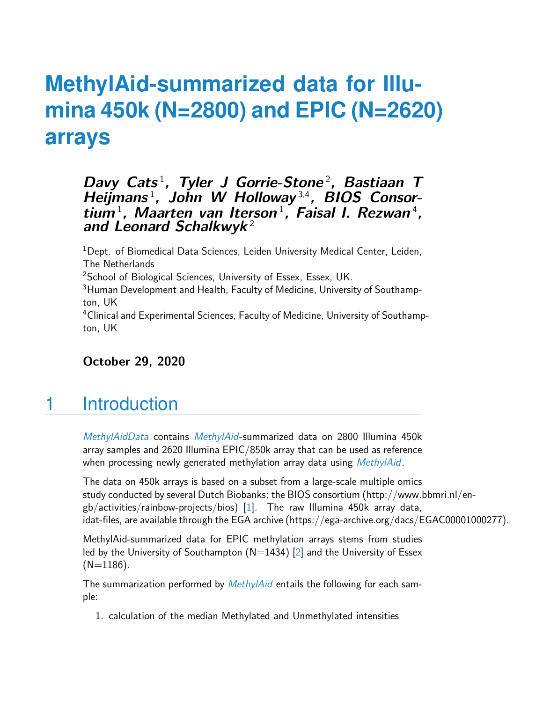# **MethylAid-summarized data for Illumina 450k (N=2800) and EPIC (N=2620) arrays**

#### Davy Cats<sup>1</sup>, Tyler J Gorrie-Stone<sup>2</sup>, Bastiaan T **Heijmans** <sup>1</sup> **, John W Holloway** 3,4**, BIOS Consor**tium<sup>1</sup>, Maarten van Iterson<sup>1</sup>, Faisal I. Rezwan<sup>4</sup>, **and Leonard Schalkwyk** <sup>2</sup>

<sup>1</sup>Dept. of Biomedical Data Sciences, Leiden University Medical Center, Leiden, The Netherlands <sup>2</sup>School of Biological Sciences, University of Essex, Essex, UK. <sup>3</sup>Human Development and Health, Faculty of Medicine, University of Southampton, UK <sup>4</sup>Clinical and Experimental Sciences, Faculty of Medicine, University of Southampton, UK

**October 29, 2020**

## 1 Introduction

[MethylAidData](http://bioconductor.org/packages/MethylAidData) contains [MethylAid](http://bioconductor.org/packages/MethylAid)-summarized data on 2800 Illumina 450k array samples and 2620 Illumina EPIC/850k array that can be used as reference when processing newly generated methylation array data using [MethylAid](http://bioconductor.org/packages/MethylAid).

The data on 450k arrays is based on a subset from a large-scale multiple omics study conducted by several Dutch Biobanks; the BIOS consortium (http://www.bbmri.nl/engb/activities/rainbow-projects/bios) [\[1\]](#page-2-0). The raw Illumina 450k array data, idat-files, are available through the EGA archive (https://ega-archive.org/dacs/EGAC00001000277).

MethylAid-summarized data for EPIC methylation arrays stems from studies led by the University of Southampton  $(N=1434)$  [\[2\]](#page-2-1) and the University of Essex  $(N=1186)$ .

The summarization performed by *[MethylAid](http://bioconductor.org/packages/MethylAid)* entails the following for each sample:

1. calculation of the median Methylated and Unmethylated intensities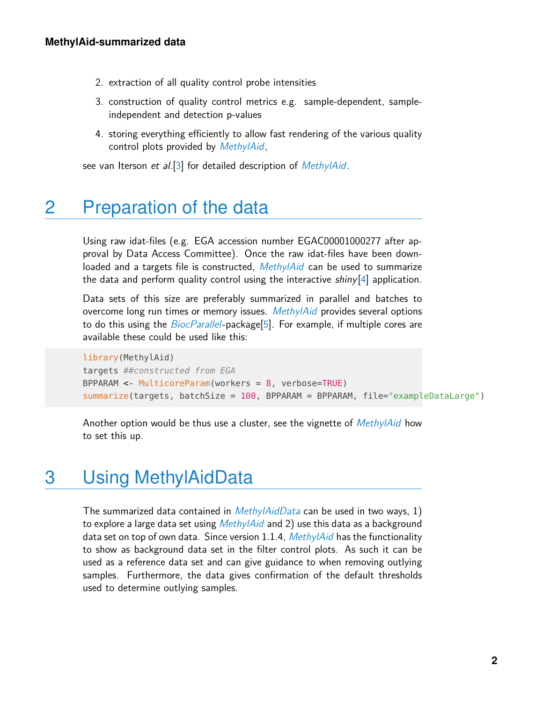- 2. extraction of all quality control probe intensities
- 3. construction of quality control metrics e.g. sample-dependent, sampleindependent and detection p-values
- 4. storing everything efficiently to allow fast rendering of the various quality control plots provided by [MethylAid](http://bioconductor.org/packages/MethylAid),

see van Iterson et al. [\[3\]](#page-2-2) for detailed description of *[MethylAid](http://bioconductor.org/packages/MethylAid)*.

### 2 Preparation of the data

Using raw idat-files (e.g. EGA accession number EGAC00001000277 after approval by Data Access Committee). Once the raw idat-files have been down-loaded and a targets file is constructed, [MethylAid](http://bioconductor.org/packages/MethylAid) can be used to summarize the data and perform quality control using the interactive  $\frac{\sin y}{4}$  application.

Data sets of this size are preferably summarized in parallel and batches to overcome long run times or memory issues. [MethylAid](http://bioconductor.org/packages/MethylAid) provides several options to do this using the *[BiocParallel](http://bioconductor.org/packages/BiocParallel)-package*[\[5\]](#page-2-4). For example, if multiple cores are available these could be used like this:

```
library(MethylAid)
targets ##constructed from EGA
BPPARAM <- MulticoreParam(workers = 8, verbose=TRUE)
summarize(targets, batchSize = 100, BPPARAM = BPPARAM, file="exampleDataLarge")
```
Another option would be thus use a cluster, see the vignette of *[MethylAid](http://bioconductor.org/packages/MethylAid)* how to set this up.

#### 3 Using MethylAidData

The summarized data contained in  $MethylAidData$  can be used in two ways, 1) to explore a large data set using  $MethylAid$  and 2) use this data as a background data set on top of own data. Since version 1.1.4, [MethylAid](http://bioconductor.org/packages/MethylAid) has the functionality to show as background data set in the filter control plots. As such it can be used as a reference data set and can give guidance to when removing outlying samples. Furthermore, the data gives confirmation of the default thresholds used to determine outlying samples.